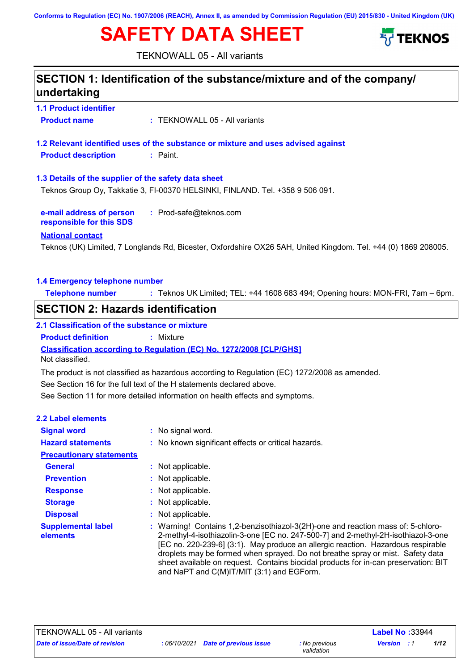**Conforms to Regulation (EC) No. 1907/2006 (REACH), Annex II, as amended by Commission Regulation (EU) 2015/830 - United Kingdom (UK)**

# **SAFETY DATA SHEET**



TEKNOWALL 05 - All variants

## **1.1 Product identifier 1.3 Details of the supplier of the safety data sheet e-mail address of person responsible for this SDS :** Prod-safe@teknos.com **1.2 Relevant identified uses of the substance or mixture and uses advised against SECTION 1: Identification of the substance/mixture and of the company/ undertaking National contact 1.4 Emergency telephone number Telephone number :** Teknos UK Limited; TEL: +44 1608 683 494; Opening hours: MON-FRI, 7am – 6pm. **Product name :** TEKNOWALL 05 - All variants **Product description :** Paint. Teknos (UK) Limited, 7 Longlands Rd, Bicester, Oxfordshire OX26 5AH, United Kingdom. Tel. +44 (0) 1869 208005. Teknos Group Oy, Takkatie 3, FI-00370 HELSINKI, FINLAND. Tel. +358 9 506 091. See Section 11 for more detailed information on health effects and symptoms. **Classification according to Regulation (EC) No. 1272/2008 [CLP/GHS] SECTION 2: Hazards identification 2.1 Classification of the substance or mixture Product definition :** Mixture See Section 16 for the full text of the H statements declared above. **2.2 Label elements Signal word : Hazard statements : Prevention : Precautionary statements** : No signal word. : No known significant effects or critical hazards. : Not applicable. Not classified. **General :** Not applicable. The product is not classified as hazardous according to Regulation (EC) 1272/2008 as amended.

- **Storage :** : Not applicable. : Not applicable.
- **Disposal :** : Not applicable.

**Supplemental label :** Warning! Contains 1,2-benzisothiazol-3(2H)-one and reaction mass of: 5-chloro-2-methyl-4-isothiazolin-3-one [EC no. 247-500-7] and 2-methyl-2H-isothiazol-3-one  $[EC~no. 220-239-6]$  (3:1). May produce an allergic reaction. Hazardous respirable droplets may be formed when sprayed. Do not breathe spray or mist. Safety data sheet available on request. Contains biocidal products for in-can preservation: BIT and NaPT and C(M)IT/MIT (3:1) and EGForm.

**Response :**

**elements**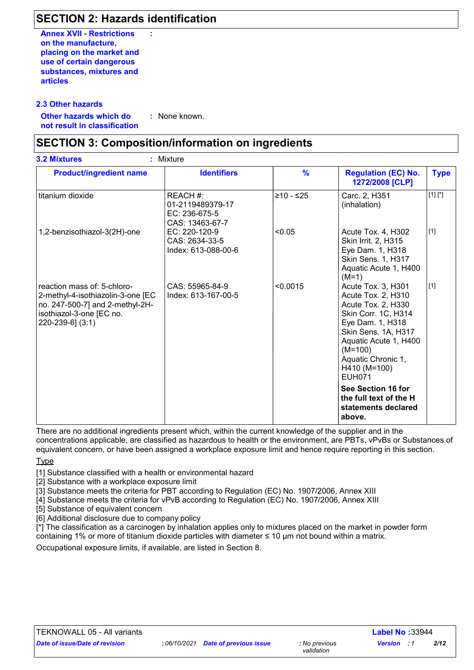## **SECTION 2: Hazards identification**

**:**

**Annex XVII - Restrictions on the manufacture, placing on the market and use of certain dangerous substances, mixtures and articles**

### **2.3 Other hazards**

**Other hazards which do : not result in classification** : None known.

### **SECTION 3: Composition/information on ingredients**

| <b>Product/ingredient name</b>                                                                                                                      | <b>Identifiers</b>                                                 | $\frac{9}{6}$ | <b>Regulation (EC) No.</b><br>1272/2008 [CLP]                                                                                                                                                                                 | <b>Type</b> |
|-----------------------------------------------------------------------------------------------------------------------------------------------------|--------------------------------------------------------------------|---------------|-------------------------------------------------------------------------------------------------------------------------------------------------------------------------------------------------------------------------------|-------------|
| titanium dioxide                                                                                                                                    | REACH #:<br>01-2119489379-17<br>$EC: 236-675-5$<br>CAS: 13463-67-7 | ≥10 - ≤25     | Carc. 2, H351<br>(inhalation)                                                                                                                                                                                                 | $[1] [^*]$  |
| 1,2-benzisothiazol-3(2H)-one                                                                                                                        | EC: 220-120-9<br>CAS: 2634-33-5<br>Index: 613-088-00-6             | < 0.05        | Acute Tox. 4, H302<br>Skin Irrit. 2, H315<br>Eye Dam. 1, H318<br>Skin Sens. 1, H317<br>Aquatic Acute 1, H400<br>$(M=1)$                                                                                                       | $[1]$       |
| reaction mass of: 5-chloro-<br>2-methyl-4-isothiazolin-3-one [EC<br>no. 247-500-7] and 2-methyl-2H-<br>isothiazol-3-one [EC no.<br>220-239-6] (3:1) | CAS: 55965-84-9<br>Index: 613-167-00-5                             | < 0.0015      | Acute Tox. 3, H301<br>Acute Tox. 2, H310<br>Acute Tox. 2, H330<br>Skin Corr. 1C, H314<br>Eye Dam. 1, H318<br>Skin Sens. 1A, H317<br>Aquatic Acute 1, H400<br>$(M=100)$<br>Aquatic Chronic 1,<br>H410 (M=100)<br><b>EUH071</b> | $[1]$       |
|                                                                                                                                                     |                                                                    |               | See Section 16 for<br>the full text of the H<br>statements declared<br>above.                                                                                                                                                 |             |

There are no additional ingredients present which, within the current knowledge of the supplier and in the concentrations applicable, are classified as hazardous to health or the environment, are PBTs, vPvBs or Substances of equivalent concern, or have been assigned a workplace exposure limit and hence require reporting in this section.

**Type** 

[1] Substance classified with a health or environmental hazard

[2] Substance with a workplace exposure limit

[3] Substance meets the criteria for PBT according to Regulation (EC) No. 1907/2006, Annex XIII

[4] Substance meets the criteria for vPvB according to Regulation (EC) No. 1907/2006, Annex XIII

[5] Substance of equivalent concern

[6] Additional disclosure due to company policy

 $\vec{r}$ ] The classification as a carcinogen by inhalation applies only to mixtures placed on the market in powder form containing 1% or more of titanium dioxide particles with diameter ≤ 10 μm not bound within a matrix.

Occupational exposure limits, if available, are listed in Section 8.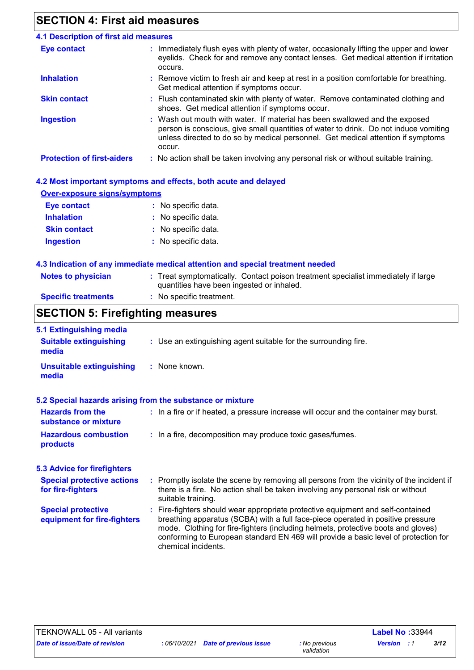# **SECTION 4: First aid measures**

| 4.1 Description of first aid measures                                                                                                                                                                                                                             |
|-------------------------------------------------------------------------------------------------------------------------------------------------------------------------------------------------------------------------------------------------------------------|
| : Immediately flush eyes with plenty of water, occasionally lifting the upper and lower<br>eyelids. Check for and remove any contact lenses. Get medical attention if irritation<br>occurs.                                                                       |
| : Remove victim to fresh air and keep at rest in a position comfortable for breathing.<br>Get medical attention if symptoms occur.                                                                                                                                |
| : Flush contaminated skin with plenty of water. Remove contaminated clothing and<br>shoes. Get medical attention if symptoms occur.                                                                                                                               |
| : Wash out mouth with water. If material has been swallowed and the exposed<br>person is conscious, give small quantities of water to drink. Do not induce vomiting<br>unless directed to do so by medical personnel. Get medical attention if symptoms<br>occur. |
| : No action shall be taken involving any personal risk or without suitable training.                                                                                                                                                                              |
|                                                                                                                                                                                                                                                                   |

| 4.2 Most important symptoms and effects, both acute and delayed |                     |  |  |
|-----------------------------------------------------------------|---------------------|--|--|
| <b>Over-exposure signs/symptoms</b>                             |                     |  |  |
| Eye contact                                                     | : No specific data. |  |  |

| <b>Inhalation</b>   | : No specific data. |
|---------------------|---------------------|
| <b>Skin contact</b> | : No specific data. |
| Ingestion           | : No specific data. |

### **4.3 Indication of any immediate medical attention and special treatment needed**

| <b>Notes to physician</b>  | : Treat symptomatically. Contact poison treatment specialist immediately if large |
|----------------------------|-----------------------------------------------------------------------------------|
|                            | quantities have been ingested or inhaled.                                         |
| <b>Specific treatments</b> | : No specific treatment.                                                          |

# **SECTION 5: Firefighting measures**

| 5.1 Extinguishing media                                   |                                                                                                                                                                                                                                                                                                                                                                       |
|-----------------------------------------------------------|-----------------------------------------------------------------------------------------------------------------------------------------------------------------------------------------------------------------------------------------------------------------------------------------------------------------------------------------------------------------------|
| <b>Suitable extinguishing</b><br>media                    | : Use an extinguishing agent suitable for the surrounding fire.                                                                                                                                                                                                                                                                                                       |
| <b>Unsuitable extinguishing</b><br>media                  | : None known.                                                                                                                                                                                                                                                                                                                                                         |
| 5.2 Special hazards arising from the substance or mixture |                                                                                                                                                                                                                                                                                                                                                                       |
| <b>Hazards from the</b><br>substance or mixture           | : In a fire or if heated, a pressure increase will occur and the container may burst.                                                                                                                                                                                                                                                                                 |
| <b>Hazardous combustion</b><br>products                   | : In a fire, decomposition may produce toxic gases/fumes.                                                                                                                                                                                                                                                                                                             |
| <b>5.3 Advice for firefighters</b>                        |                                                                                                                                                                                                                                                                                                                                                                       |
| <b>Special protective actions</b><br>for fire-fighters    | : Promptly isolate the scene by removing all persons from the vicinity of the incident if<br>there is a fire. No action shall be taken involving any personal risk or without<br>suitable training.                                                                                                                                                                   |
| <b>Special protective</b><br>equipment for fire-fighters  | : Fire-fighters should wear appropriate protective equipment and self-contained<br>breathing apparatus (SCBA) with a full face-piece operated in positive pressure<br>mode. Clothing for fire-fighters (including helmets, protective boots and gloves)<br>conforming to European standard EN 469 will provide a basic level of protection for<br>chemical incidents. |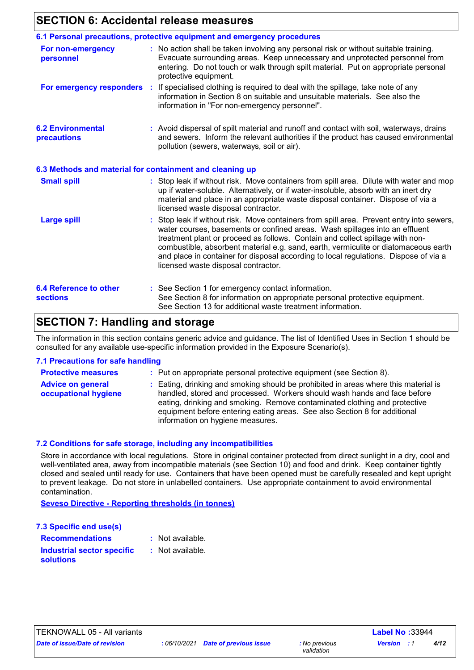### **SECTION 6: Accidental release measures**

|                                                  | 6.1 Personal precautions, protective equipment and emergency procedures                                                                                                                                                                                                                                                                                                                                                                                                        |
|--------------------------------------------------|--------------------------------------------------------------------------------------------------------------------------------------------------------------------------------------------------------------------------------------------------------------------------------------------------------------------------------------------------------------------------------------------------------------------------------------------------------------------------------|
| For non-emergency<br>personnel                   | : No action shall be taken involving any personal risk or without suitable training.<br>Evacuate surrounding areas. Keep unnecessary and unprotected personnel from<br>entering. Do not touch or walk through spilt material. Put on appropriate personal<br>protective equipment.                                                                                                                                                                                             |
|                                                  | For emergency responders : If specialised clothing is required to deal with the spillage, take note of any<br>information in Section 8 on suitable and unsuitable materials. See also the<br>information in "For non-emergency personnel".                                                                                                                                                                                                                                     |
| <b>6.2 Environmental</b><br>precautions          | : Avoid dispersal of spilt material and runoff and contact with soil, waterways, drains<br>and sewers. Inform the relevant authorities if the product has caused environmental<br>pollution (sewers, waterways, soil or air).                                                                                                                                                                                                                                                  |
|                                                  | 6.3 Methods and material for containment and cleaning up                                                                                                                                                                                                                                                                                                                                                                                                                       |
| <b>Small spill</b>                               | : Stop leak if without risk. Move containers from spill area. Dilute with water and mop<br>up if water-soluble. Alternatively, or if water-insoluble, absorb with an inert dry<br>material and place in an appropriate waste disposal container. Dispose of via a<br>licensed waste disposal contractor.                                                                                                                                                                       |
| <b>Large spill</b>                               | : Stop leak if without risk. Move containers from spill area. Prevent entry into sewers,<br>water courses, basements or confined areas. Wash spillages into an effluent<br>treatment plant or proceed as follows. Contain and collect spillage with non-<br>combustible, absorbent material e.g. sand, earth, vermiculite or diatomaceous earth<br>and place in container for disposal according to local regulations. Dispose of via a<br>licensed waste disposal contractor. |
| <b>6.4 Reference to other</b><br><b>sections</b> | : See Section 1 for emergency contact information.<br>See Section 8 for information on appropriate personal protective equipment.<br>See Section 13 for additional waste treatment information.                                                                                                                                                                                                                                                                                |

# **SECTION 7: Handling and storage**

The information in this section contains generic advice and guidance. The list of Identified Uses in Section 1 should be consulted for any available use-specific information provided in the Exposure Scenario(s).

### **7.1 Precautions for safe handling**

| <b>Protective measures</b>                       | : Put on appropriate personal protective equipment (see Section 8).                                                                                                                                                                                                                                                                                           |
|--------------------------------------------------|---------------------------------------------------------------------------------------------------------------------------------------------------------------------------------------------------------------------------------------------------------------------------------------------------------------------------------------------------------------|
| <b>Advice on general</b><br>occupational hygiene | : Eating, drinking and smoking should be prohibited in areas where this material is<br>handled, stored and processed. Workers should wash hands and face before<br>eating, drinking and smoking. Remove contaminated clothing and protective<br>equipment before entering eating areas. See also Section 8 for additional<br>information on hygiene measures. |

### **7.2 Conditions for safe storage, including any incompatibilities**

Store in accordance with local regulations. Store in original container protected from direct sunlight in a dry, cool and well-ventilated area, away from incompatible materials (see Section 10) and food and drink. Keep container tightly closed and sealed until ready for use. Containers that have been opened must be carefully resealed and kept upright to prevent leakage. Do not store in unlabelled containers. Use appropriate containment to avoid environmental contamination.

**Seveso Directive - Reporting thresholds (in tonnes)**

| 7.3 Specific end use(s)    |                  |
|----------------------------|------------------|
| <b>Recommendations</b>     | : Not available. |
| Industrial sector specific | : Not available. |
| <b>solutions</b>           |                  |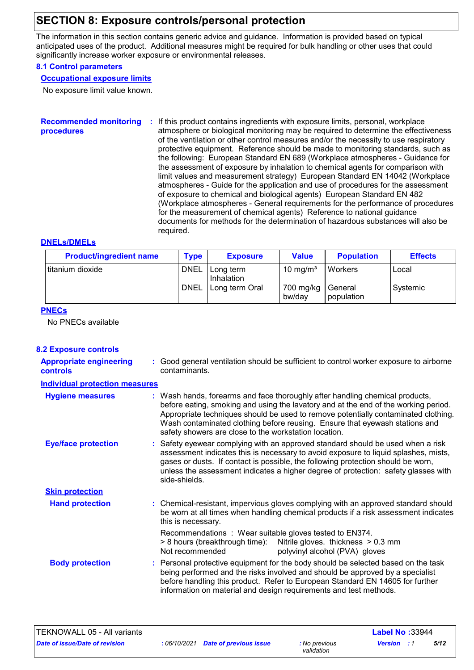## **SECTION 8: Exposure controls/personal protection**

The information in this section contains generic advice and guidance. Information is provided based on typical anticipated uses of the product. Additional measures might be required for bulk handling or other uses that could significantly increase worker exposure or environmental releases.

### **8.1 Control parameters**

### **Occupational exposure limits**

No exposure limit value known.

#### **Recommended monitoring procedures :** If this product contains ingredients with exposure limits, personal, workplace atmosphere or biological monitoring may be required to determine the effectiveness of the ventilation or other control measures and/or the necessity to use respiratory protective equipment. Reference should be made to monitoring standards, such as the following: European Standard EN 689 (Workplace atmospheres - Guidance for the assessment of exposure by inhalation to chemical agents for comparison with limit values and measurement strategy) European Standard EN 14042 (Workplace atmospheres - Guide for the application and use of procedures for the assessment of exposure to chemical and biological agents) European Standard EN 482 (Workplace atmospheres - General requirements for the performance of procedures for the measurement of chemical agents) Reference to national guidance documents for methods for the determination of hazardous substances will also be required.

### **DNELs/DMELs**

| <b>Product/ingredient name</b> | <b>Type</b> | <b>Exposure</b>         | Value                | <b>Population</b>     | <b>Effects</b> |
|--------------------------------|-------------|-------------------------|----------------------|-----------------------|----------------|
| Ititanium dioxide              | <b>DNEL</b> | Long term<br>Inhalation | 10 mg/m <sup>3</sup> | Workers               | Local          |
|                                | <b>DNEL</b> | Long term Oral          | 700 mg/kg<br>bw/day  | General<br>population | Systemic       |

### **PNECs**

No PNECs available

### **8.2 Exposure controls**

| <b>Appropriate engineering</b><br><b>controls</b> | : Good general ventilation should be sufficient to control worker exposure to airborne<br>contaminants.                                                                                                                                                                                                                                                                                           |
|---------------------------------------------------|---------------------------------------------------------------------------------------------------------------------------------------------------------------------------------------------------------------------------------------------------------------------------------------------------------------------------------------------------------------------------------------------------|
| <b>Individual protection measures</b>             |                                                                                                                                                                                                                                                                                                                                                                                                   |
| <b>Hygiene measures</b>                           | : Wash hands, forearms and face thoroughly after handling chemical products,<br>before eating, smoking and using the lavatory and at the end of the working period.<br>Appropriate techniques should be used to remove potentially contaminated clothing.<br>Wash contaminated clothing before reusing. Ensure that eyewash stations and<br>safety showers are close to the workstation location. |
| <b>Eye/face protection</b>                        | : Safety eyewear complying with an approved standard should be used when a risk<br>assessment indicates this is necessary to avoid exposure to liquid splashes, mists,<br>gases or dusts. If contact is possible, the following protection should be worn,<br>unless the assessment indicates a higher degree of protection: safety glasses with<br>side-shields.                                 |
| <b>Skin protection</b>                            |                                                                                                                                                                                                                                                                                                                                                                                                   |
| <b>Hand protection</b>                            | : Chemical-resistant, impervious gloves complying with an approved standard should<br>be worn at all times when handling chemical products if a risk assessment indicates<br>this is necessary.                                                                                                                                                                                                   |
|                                                   | Recommendations : Wear suitable gloves tested to EN374.<br>> 8 hours (breakthrough time): Nitrile gloves. thickness > 0.3 mm<br>Not recommended<br>polyvinyl alcohol (PVA) gloves                                                                                                                                                                                                                 |
| <b>Body protection</b>                            | : Personal protective equipment for the body should be selected based on the task<br>being performed and the risks involved and should be approved by a specialist<br>before handling this product. Refer to European Standard EN 14605 for further<br>information on material and design requirements and test methods.                                                                          |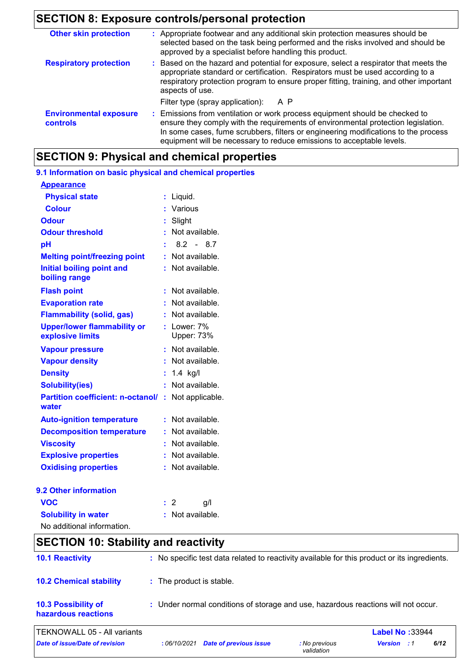# **SECTION 8: Exposure controls/personal protection**

| <b>Other skin protection</b>                     | : Appropriate footwear and any additional skin protection measures should be<br>selected based on the task being performed and the risks involved and should be<br>approved by a specialist before handling this product.                                                                                                       |
|--------------------------------------------------|---------------------------------------------------------------------------------------------------------------------------------------------------------------------------------------------------------------------------------------------------------------------------------------------------------------------------------|
| <b>Respiratory protection</b>                    | : Based on the hazard and potential for exposure, select a respirator that meets the<br>appropriate standard or certification. Respirators must be used according to a<br>respiratory protection program to ensure proper fitting, training, and other important<br>aspects of use.                                             |
|                                                  | Filter type (spray application): A P                                                                                                                                                                                                                                                                                            |
| <b>Environmental exposure</b><br><b>controls</b> | : Emissions from ventilation or work process equipment should be checked to<br>ensure they comply with the requirements of environmental protection legislation.<br>In some cases, fume scrubbers, filters or engineering modifications to the process<br>equipment will be necessary to reduce emissions to acceptable levels. |

# **SECTION 9: Physical and chemical properties**

| 9.1 Information on basic physical and chemical properties |    |                                |
|-----------------------------------------------------------|----|--------------------------------|
| <b>Appearance</b>                                         |    |                                |
| <b>Physical state</b>                                     | ÷. | Liquid.                        |
| <b>Colour</b>                                             |    | Various                        |
| Odour                                                     | t  | Slight                         |
| <b>Odour threshold</b>                                    | ŧ. | Not available.                 |
| pH                                                        |    | $8.2 - 8.7$                    |
| <b>Melting point/freezing point</b>                       |    | : Not available.               |
| <b>Initial boiling point and</b><br>boiling range         |    | : Not available.               |
| <b>Flash point</b>                                        | ÷  | Not available.                 |
| <b>Evaporation rate</b>                                   |    | Not available.                 |
| <b>Flammability (solid, gas)</b>                          | ÷. | Not available.                 |
| <b>Upper/lower flammability or</b><br>explosive limits    |    | $:$ Lower: $7\%$<br>Upper: 73% |
| <b>Vapour pressure</b>                                    | t. | Not available.                 |
| <b>Vapour density</b>                                     |    | Not available.                 |
| <b>Density</b>                                            | ÷  | $1.4$ kg/l                     |
| <b>Solubility(ies)</b>                                    |    | Not available.                 |
| <b>Partition coefficient: n-octanol/:</b><br>water        |    | Not applicable.                |
| <b>Auto-ignition temperature</b>                          | t. | Not available.                 |
| <b>Decomposition temperature</b>                          |    | : Not available.               |
| <b>Viscosity</b>                                          |    | Not available.                 |
| <b>Explosive properties</b>                               | t. | Not available.                 |
| <b>Oxidising properties</b>                               | ÷. | Not available.                 |
| 9.2 Other information                                     |    |                                |
| <b>VOC</b>                                                | t. | 2<br>g/l                       |
| <b>Solubility in water</b>                                |    | Not available.                 |
| No additional information.                                |    |                                |

|  | <b>SECTION 10: Stability and reactivity</b> |
|--|---------------------------------------------|

| <b>10.1 Reactivity</b>                            | : No specific test data related to reactivity available for this product or its ingredients. |                             |                        |      |  |
|---------------------------------------------------|----------------------------------------------------------------------------------------------|-----------------------------|------------------------|------|--|
| <b>10.2 Chemical stability</b>                    | : The product is stable.                                                                     |                             |                        |      |  |
| <b>10.3 Possibility of</b><br>hazardous reactions | : Under normal conditions of storage and use, hazardous reactions will not occur.            |                             |                        |      |  |
| TEKNOWALL 05 - All variants                       |                                                                                              |                             | <b>Label No: 33944</b> |      |  |
| Date of issue/Date of revision                    | <b>Date of previous issue</b><br>:06/10/2021                                                 | : No previous<br>validation | <b>Version</b> : 1     | 6/12 |  |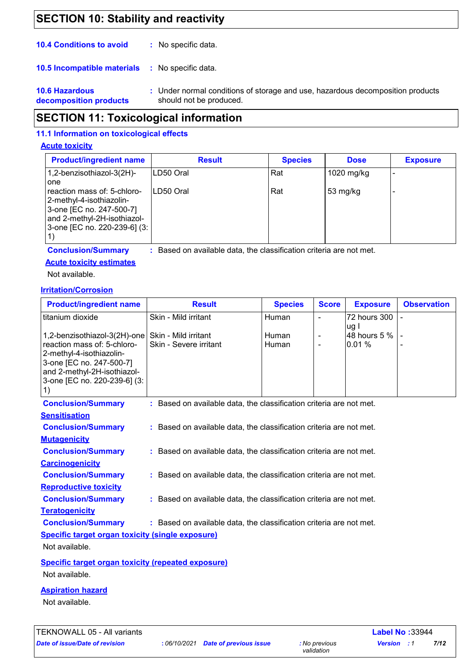## **SECTION 10: Stability and reactivity**

| <b>10.4 Conditions to avoid</b> | No specific data. |
|---------------------------------|-------------------|
|---------------------------------|-------------------|

**10.5 Incompatible materials : No specific data.** 

**10.6 Hazardous decomposition products** Under normal conditions of storage and use, hazardous decomposition products **:** should not be produced.

## **SECTION 11: Toxicological information**

### **11.1 Information on toxicological effects**

### **Acute toxicity**

| <b>Product/ingredient name</b>                                                                                                                     | <b>Result</b> | <b>Species</b> | <b>Dose</b> | <b>Exposure</b> |
|----------------------------------------------------------------------------------------------------------------------------------------------------|---------------|----------------|-------------|-----------------|
| 1,2-benzisothiazol-3(2H)-<br>one                                                                                                                   | ILD50 Oral    | Rat            | 1020 mg/kg  |                 |
| reaction mass of: 5-chloro-<br>2-methyl-4-isothiazolin-<br>3-one [EC no. 247-500-7]<br>and 2-methyl-2H-isothiazol-<br>3-one [EC no. 220-239-6] (3: | LD50 Oral     | Rat            | 53 $mg/kg$  |                 |

**Conclusion/Summary :**

Based on available data, the classification criteria are not met.

**Acute toxicity estimates**

Not available.

### **Irritation/Corrosion**

| <b>Product/ingredient name</b>                                                                                                                                                                                  | <b>Result</b>                                                       | <b>Species</b>        | <b>Score</b>   | <b>Exposure</b>       | <b>Observation</b> |
|-----------------------------------------------------------------------------------------------------------------------------------------------------------------------------------------------------------------|---------------------------------------------------------------------|-----------------------|----------------|-----------------------|--------------------|
| titanium dioxide                                                                                                                                                                                                | Skin - Mild irritant                                                | Human                 | $\mathbf{r}$   | 72 hours 300<br>ug I  |                    |
| 1,2-benzisothiazol-3(2H)-one   Skin - Mild irritant<br>reaction mass of: 5-chloro-<br>2-methyl-4-isothiazolin-<br>3-one [EC no. 247-500-7]<br>and 2-methyl-2H-isothiazol-<br>3-one [EC no. 220-239-6] (3:<br>1) | Skin - Severe irritant                                              | <b>Human</b><br>Human | $\blacksquare$ | 48 hours 5 %<br>0.01% |                    |
| <b>Conclusion/Summary</b>                                                                                                                                                                                       | : Based on available data, the classification criteria are not met. |                       |                |                       |                    |
| <b>Sensitisation</b>                                                                                                                                                                                            |                                                                     |                       |                |                       |                    |
| <b>Conclusion/Summary</b>                                                                                                                                                                                       | : Based on available data, the classification criteria are not met. |                       |                |                       |                    |
| <b>Mutagenicity</b>                                                                                                                                                                                             |                                                                     |                       |                |                       |                    |
| <b>Conclusion/Summary</b>                                                                                                                                                                                       | : Based on available data, the classification criteria are not met. |                       |                |                       |                    |
| <b>Carcinogenicity</b>                                                                                                                                                                                          |                                                                     |                       |                |                       |                    |
| <b>Conclusion/Summary</b>                                                                                                                                                                                       | : Based on available data, the classification criteria are not met. |                       |                |                       |                    |
| <b>Reproductive toxicity</b>                                                                                                                                                                                    |                                                                     |                       |                |                       |                    |
| <b>Conclusion/Summary</b>                                                                                                                                                                                       | : Based on available data, the classification criteria are not met. |                       |                |                       |                    |
| <b>Teratogenicity</b>                                                                                                                                                                                           |                                                                     |                       |                |                       |                    |
| <b>Conclusion/Summary</b>                                                                                                                                                                                       | : Based on available data, the classification criteria are not met. |                       |                |                       |                    |
| <b>Specific target organ toxicity (single exposure)</b>                                                                                                                                                         |                                                                     |                       |                |                       |                    |
| Not available.                                                                                                                                                                                                  |                                                                     |                       |                |                       |                    |
| <b>Specific target organ toxicity (repeated exposure)</b>                                                                                                                                                       |                                                                     |                       |                |                       |                    |
| Not available.                                                                                                                                                                                                  |                                                                     |                       |                |                       |                    |
| A construction of the company of a                                                                                                                                                                              |                                                                     |                       |                |                       |                    |

### **Aspiration hazard**

Not available.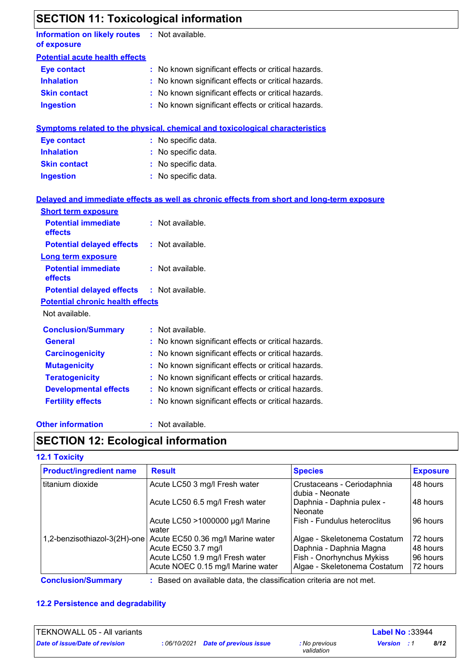# **SECTION 11: Toxicological information**

| Information on likely routes : Not available.<br>of exposure |                                                                                            |
|--------------------------------------------------------------|--------------------------------------------------------------------------------------------|
| <b>Potential acute health effects</b>                        |                                                                                            |
| <b>Eye contact</b>                                           | : No known significant effects or critical hazards.                                        |
| <b>Inhalation</b>                                            | : No known significant effects or critical hazards.                                        |
| <b>Skin contact</b>                                          | : No known significant effects or critical hazards.                                        |
| <b>Ingestion</b>                                             | : No known significant effects or critical hazards.                                        |
|                                                              | Symptoms related to the physical, chemical and toxicological characteristics               |
| <b>Eye contact</b>                                           | : No specific data.                                                                        |
| <b>Inhalation</b>                                            | : No specific data.                                                                        |
| <b>Skin contact</b>                                          | : No specific data.                                                                        |
| <b>Ingestion</b>                                             | : No specific data.                                                                        |
|                                                              | Delayed and immediate effects as well as chronic effects from short and long-term exposure |
| <b>Short term exposure</b>                                   |                                                                                            |
| <b>Potential immediate</b><br>effects                        | : Not available.                                                                           |
| <b>Potential delayed effects</b>                             | : Not available.                                                                           |
| <b>Long term exposure</b>                                    |                                                                                            |
| <b>Potential immediate</b><br>effects                        | : Not available.                                                                           |
| <b>Potential delayed effects</b>                             | : Not available.                                                                           |
| <b>Potential chronic health effects</b>                      |                                                                                            |
| Not available.                                               |                                                                                            |
| <b>Conclusion/Summary</b>                                    | : Not available.                                                                           |
| <b>General</b>                                               | : No known significant effects or critical hazards.                                        |
| <b>Carcinogenicity</b>                                       | : No known significant effects or critical hazards.                                        |
| <b>Mutagenicity</b>                                          | : No known significant effects or critical hazards.                                        |
| <b>Teratogenicity</b>                                        | : No known significant effects or critical hazards.                                        |
| <b>Developmental effects</b>                                 | : No known significant effects or critical hazards.                                        |
| <b>Fertility effects</b>                                     | : No known significant effects or critical hazards.                                        |
|                                                              |                                                                                            |

**Other information :**

: Not available.

# **SECTION 12: Ecological information**

### **12.1 Toxicity**

| <b>Product/ingredient name</b> | <b>Result</b>                                                  | <b>Species</b>                                | <b>Exposure</b> |
|--------------------------------|----------------------------------------------------------------|-----------------------------------------------|-----------------|
| titanium dioxide               | Acute LC50 3 mg/l Fresh water                                  | Crustaceans - Ceriodaphnia<br>dubia - Neonate | 48 hours        |
|                                | Acute LC50 6.5 mg/l Fresh water                                | Daphnia - Daphnia pulex -<br>Neonate          | 48 hours        |
|                                | Acute LC50 >1000000 µg/l Marine<br>water                       | Fish - Fundulus heteroclitus                  | 96 hours        |
|                                | 1,2-benzisothiazol-3(2H)-one Acute EC50 0.36 mg/l Marine water | Algae - Skeletonema Costatum                  | 172 hours       |
|                                | Acute EC50 3.7 mg/l                                            | Daphnia - Daphnia Magna                       | 48 hours        |
|                                | Acute LC50 1.9 mg/l Fresh water                                | Fish - Onorhynchus Mykiss                     | 96 hours        |
|                                | Acute NOEC 0.15 mg/l Marine water                              | Algae - Skeletonema Costatum                  | 72 hours        |

**Conclusion/Summary :** : Based on available data, the classification criteria are not met.

### **12.2 Persistence and degradability**

| TEKNOWALL 05 - All variants    |                                            |                             | <b>Label No: 33944</b> |      |
|--------------------------------|--------------------------------------------|-----------------------------|------------------------|------|
| Date of issue/Date of revision | : 06/10/2021 <b>Date of previous issue</b> | : No previous<br>validation | <b>Version</b> : 1     | 8/12 |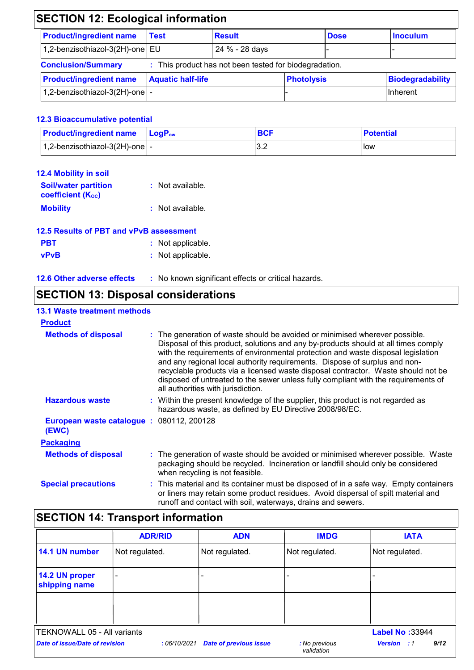| <b>SECTION 12: Ecological information</b> |                          |                                                        |                   |             |                         |
|-------------------------------------------|--------------------------|--------------------------------------------------------|-------------------|-------------|-------------------------|
| <b>Product/ingredient name</b>            | <b>Test</b>              | <b>Result</b>                                          |                   | <b>Dose</b> | <b>Inoculum</b>         |
| 1,2-benzisothiazol-3(2H)-one EU           |                          | 24 % - 28 days                                         |                   |             |                         |
| <b>Conclusion/Summary</b>                 |                          | : This product has not been tested for biodegradation. |                   |             |                         |
| <b>Product/ingredient name</b>            | <b>Aquatic half-life</b> |                                                        | <b>Photolysis</b> |             | <b>Biodegradability</b> |
| 1,2-benzisothiazol-3(2H)-one $\vert$ -    |                          |                                                        |                   |             | Inherent                |

### **12.3 Bioaccumulative potential**

| <b>Product/ingredient name</b> LogP <sub>ow</sub> | <b>BCF</b> | <b>Potential</b> |
|---------------------------------------------------|------------|------------------|
| $\vert$ 1,2-benzisothiazol-3(2H)-one $\vert$ -    | ◡.∠        | low              |

| 12.4 Mobility in soil                                   |                  |
|---------------------------------------------------------|------------------|
| <b>Soil/water partition</b><br><b>coefficient (Koc)</b> | : Not available. |
| <b>Mobility</b>                                         | : Not available. |

| 12.5 Results of PBT and vPvB assessment |                   |  |
|-----------------------------------------|-------------------|--|
| <b>PBT</b>                              | : Not applicable. |  |
| <b>vPvB</b>                             | : Not applicable. |  |

| <b>12.6 Other adverse effects</b> | : No known significant effects or critical hazards. |
|-----------------------------------|-----------------------------------------------------|
|-----------------------------------|-----------------------------------------------------|

# **SECTION 13: Disposal considerations**

| <b>13.1 Waste treatment methods</b>               |                                                                                                                                                                                                                                                                                                                                                                                                                                                                                                                                                      |
|---------------------------------------------------|------------------------------------------------------------------------------------------------------------------------------------------------------------------------------------------------------------------------------------------------------------------------------------------------------------------------------------------------------------------------------------------------------------------------------------------------------------------------------------------------------------------------------------------------------|
| <b>Product</b>                                    |                                                                                                                                                                                                                                                                                                                                                                                                                                                                                                                                                      |
| <b>Methods of disposal</b>                        | : The generation of waste should be avoided or minimised wherever possible.<br>Disposal of this product, solutions and any by-products should at all times comply<br>with the requirements of environmental protection and waste disposal legislation<br>and any regional local authority requirements. Dispose of surplus and non-<br>recyclable products via a licensed waste disposal contractor. Waste should not be<br>disposed of untreated to the sewer unless fully compliant with the requirements of<br>all authorities with jurisdiction. |
| <b>Hazardous waste</b>                            | : Within the present knowledge of the supplier, this product is not regarded as<br>hazardous waste, as defined by EU Directive 2008/98/EC.                                                                                                                                                                                                                                                                                                                                                                                                           |
| European waste catalogue: 080112, 200128<br>(EWC) |                                                                                                                                                                                                                                                                                                                                                                                                                                                                                                                                                      |
| <b>Packaging</b>                                  |                                                                                                                                                                                                                                                                                                                                                                                                                                                                                                                                                      |
| <b>Methods of disposal</b>                        | : The generation of waste should be avoided or minimised wherever possible. Waste<br>packaging should be recycled. Incineration or landfill should only be considered<br>when recycling is not feasible.                                                                                                                                                                                                                                                                                                                                             |
| <b>Special precautions</b>                        | : This material and its container must be disposed of in a safe way. Empty containers<br>or liners may retain some product residues. Avoid dispersal of spilt material and<br>runoff and contact with soil, waterways, drains and sewers.                                                                                                                                                                                                                                                                                                            |

# **SECTION 14: Transport information**

|                                 | <b>ADR/RID</b> | <b>ADN</b>                    | <b>IMDG</b>                 | <b>IATA</b>                |
|---------------------------------|----------------|-------------------------------|-----------------------------|----------------------------|
| 14.1 UN number                  | Not regulated. | Not regulated.                | Not regulated.              | Not regulated.             |
| 14.2 UN proper<br>shipping name | ۰              |                               | $\overline{\phantom{0}}$    |                            |
|                                 |                |                               |                             |                            |
| TEKNOWALL 05 - All variants     |                |                               |                             | Label No: 33944            |
| Date of issue/Date of revision  | :06/10/2021    | <b>Date of previous issue</b> | : No previous<br>validation | 9/12<br><b>Version</b> : 1 |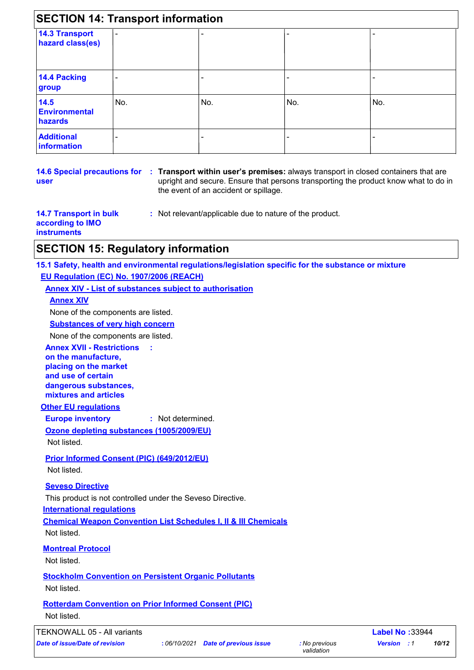| <b>14.3 Transport</b><br>hazard class(es) | -   |     |     | -   |
|-------------------------------------------|-----|-----|-----|-----|
| 14.4 Packing<br>group                     | -   |     |     |     |
| 14.5<br><b>Environmental</b><br>hazards   | No. | No. | No. | No. |
| <b>Additional</b><br>information          | -   | -   |     |     |

**user**

**14.6 Special precautions for : Transport within user's premises:** always transport in closed containers that are upright and secure. Ensure that persons transporting the product know what to do in the event of an accident or spillage.

**14.7 Transport in bulk according to IMO instruments**

**:** Not relevant/applicable due to nature of the product.

### **SECTION 15: Regulatory information**

**15.1 Safety, health and environmental regulations/legislation specific for the substance or mixture EU Regulation (EC) No. 1907/2006 (REACH)**

### **Annex XIV - List of substances subject to authorisation**

**:**

**Annex XIV**

None of the components are listed.

#### **Substances of very high concern**

None of the components are listed.

**Annex XVII - Restrictions on the manufacture, placing on the market and use of certain dangerous substances, mixtures and articles**

### **Other EU regulations**

**Europe inventory :** Not determined.

**Ozone depleting substances (1005/2009/EU)** Not listed.

### **Prior Informed Consent (PIC) (649/2012/EU)**

Not listed.

### **Seveso Directive**

This product is not controlled under the Seveso Directive.

**International regulations**

**Chemical Weapon Convention List Schedules I, II & III Chemicals**

Not listed.

### **Montreal Protocol**

Not listed.

**Stockholm Convention on Persistent Organic Pollutants**

Not listed.

#### **Rotterdam Convention on Prior Informed Consent (PIC)** Not listed.

TEKNOWALL 05 - All variants **Label No :**33944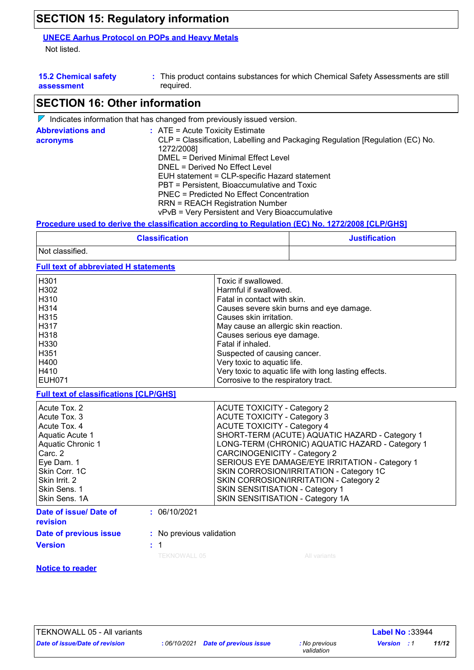### **SECTION 15: Regulatory information**

### **UNECE Aarhus Protocol on POPs and Heavy Metals**

Not listed.

| <b>15.2 Chemical safety</b> |  |
|-----------------------------|--|
| assessment                  |  |

This product contains substances for which Chemical Safety Assessments are still **:** required.

# **SECTION 16: Other information**

|                                      | $\mathbb V$ Indicates information that has changed from previously issued version.                                                                                                                                                                                                                                                                                                                                                                          |
|--------------------------------------|-------------------------------------------------------------------------------------------------------------------------------------------------------------------------------------------------------------------------------------------------------------------------------------------------------------------------------------------------------------------------------------------------------------------------------------------------------------|
| <b>Abbreviations and</b><br>acronyms | $\therefore$ ATE = Acute Toxicity Estimate<br>CLP = Classification, Labelling and Packaging Regulation [Regulation (EC) No.<br>1272/2008]<br>DMEL = Derived Minimal Effect Level<br>DNEL = Derived No Effect Level<br>EUH statement = CLP-specific Hazard statement<br>PBT = Persistent, Bioaccumulative and Toxic<br>PNEC = Predicted No Effect Concentration<br><b>RRN = REACH Registration Number</b><br>vPvB = Very Persistent and Very Bioaccumulative |
|                                      |                                                                                                                                                                                                                                                                                                                                                                                                                                                             |

### **Procedure used to derive the classification according to Regulation (EC) No. 1272/2008 [CLP/GHS]**

| <b>Classification</b> | <b>Justification</b> |
|-----------------------|----------------------|
| Not classified.       |                      |

### **Full text of abbreviated H statements**

| H <sub>301</sub> | Toxic if swallowed.                                   |
|------------------|-------------------------------------------------------|
| H302             | Harmful if swallowed.                                 |
| H310             | Fatal in contact with skin.                           |
| H314             | Causes severe skin burns and eye damage.              |
| H315             | Causes skin irritation.                               |
| l H317           | May cause an allergic skin reaction.                  |
| H318             | Causes serious eye damage.                            |
| H330             | Fatal if inhaled.                                     |
| H <sub>351</sub> | Suspected of causing cancer.                          |
| H400             | Very toxic to aquatic life.                           |
| H410             | Very toxic to aquatic life with long lasting effects. |
| I EUH071         | Corrosive to the respiratory tract.                   |
|                  |                                                       |

**Full text of classifications [CLP/GHS]**

| Acute Tox, 2                           | <b>ACUTE TOXICITY - Category 2</b>              |
|----------------------------------------|-------------------------------------------------|
| Acute Tox, 3                           | <b>ACUTE TOXICITY - Category 3</b>              |
| Acute Tox, 4                           | <b>ACUTE TOXICITY - Category 4</b>              |
| Aquatic Acute 1                        | SHORT-TERM (ACUTE) AQUATIC HAZARD - Category 1  |
| Aquatic Chronic 1                      | LONG-TERM (CHRONIC) AQUATIC HAZARD - Category 1 |
| Carc. 2                                | <b>CARCINOGENICITY - Category 2</b>             |
| Eye Dam. 1                             | SERIOUS EYE DAMAGE/EYE IRRITATION - Category 1  |
| Skin Corr. 1C                          | SKIN CORROSION/IRRITATION - Category 1C         |
| Skin Irrit. 2                          | SKIN CORROSION/IRRITATION - Category 2          |
| Skin Sens. 1                           | <b>SKIN SENSITISATION - Category 1</b>          |
| Skin Sens. 1A                          | SKIN SENSITISATION - Category 1A                |
| Date of issue/ Date of<br>: 06/10/2021 |                                                 |

# **revision**

**Version**

### **:** 06/10/2021

### **:** No previous validation

**:** 1

### **Notice to reader**

**Date of previous issue**